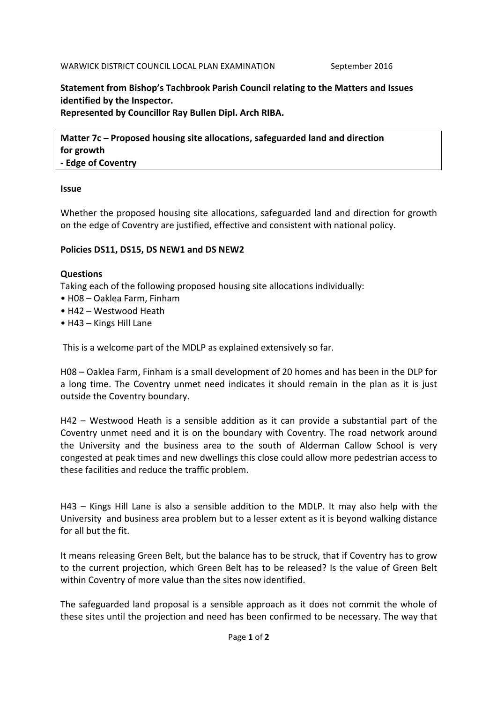**Statement from Bishop's Tachbrook Parish Council relating to the Matters and Issues identified by the Inspector. Represented by Councillor Ray Bullen Dipl. Arch RIBA.**

**Matter 7c – Proposed housing site allocations, safeguarded land and direction for growth - Edge of Coventry**

## **Issue**

Whether the proposed housing site allocations, safeguarded land and direction for growth on the edge of Coventry are justified, effective and consistent with national policy.

## Policies DS11, DS15, DS NEW1 and DS NEW2

## **Questions**

Taking each of the following proposed housing site allocations individually:

- H08 Oaklea Farm, Finham
- H42 Westwood Heath
- $\bullet$  H43 Kings Hill Lane

This is a welcome part of the MDLP as explained extensively so far.

H08 – Oaklea Farm, Finham is a small development of 20 homes and has been in the DLP for a long time. The Coventry unmet need indicates it should remain in the plan as it is just outside the Coventry boundary.

 $H42 -$  Westwood Heath is a sensible addition as it can provide a substantial part of the Coventry unmet need and it is on the boundary with Coventry. The road network around the University and the business area to the south of Alderman Callow School is very congested at peak times and new dwellings this close could allow more pedestrian access to these facilities and reduce the traffic problem.

H43 – Kings Hill Lane is also a sensible addition to the MDLP. It may also help with the University and business area problem but to a lesser extent as it is beyond walking distance for all but the fit.

It means releasing Green Belt, but the balance has to be struck, that if Coventry has to grow to the current projection, which Green Belt has to be released? Is the value of Green Belt within Coventry of more value than the sites now identified.

The safeguarded land proposal is a sensible approach as it does not commit the whole of these sites until the projection and need has been confirmed to be necessary. The way that